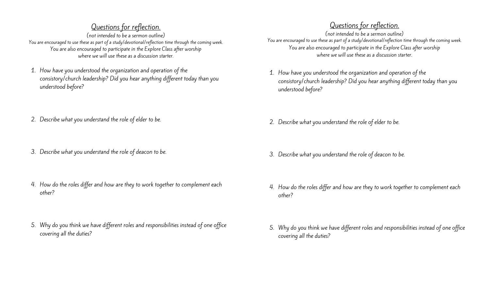## Questions for reflection.

(not intended to be a sermon outline) You are encouraged to use these as part of a study/devotional/reflection time through the coming week. You are also encouraged to participate in the Explore Class after worship where we will use these as a discussion starter.

- 1. How have you understood the organization and operation of the consistory/church leadership? Did you hear anything different today than you understood before?
- 2. Describe what you understand the role of elder to be.
- 3. Describe what you understand the role of deacon to be.
- 4. How do the roles differ and how are they to work together to complement each other?
- 5. Why do you think we have different roles and responsibilities instead of one office covering all the duties?

## Questions for reflection.

(not intended to be a sermon outline) You are encouraged to use these as part of a study/devotional/reflection time through the coming week. You are also encouraged to participate in the Explore Class after worship where we will use these as a discussion starter.

- 1. How have you understood the organization and operation of the consistory/church leadership? Did you hear anything different today than you understood before?
- 2. Describe what you understand the role of elder to be.
- 3. Describe what you understand the role of deacon to be.
- 4. How do the roles differ and how are they to work together to complement each other?
- service comparent reflections for reflections for an intervention of the series of the series of the series of<br>adulties? 5. Why do you think we have different roles and responsibilities instead of one office covering all the duties?